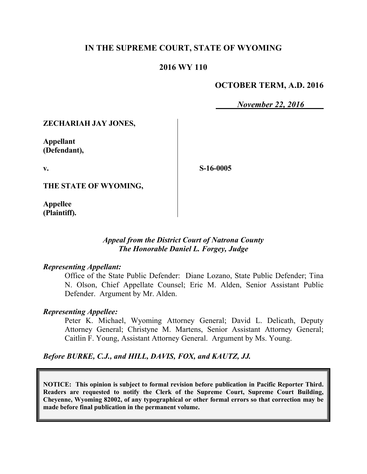## **IN THE SUPREME COURT, STATE OF WYOMING**

## **2016 WY 110**

## **OCTOBER TERM, A.D. 2016**

*November 22, 2016*

**ZECHARIAH JAY JONES,**

**Appellant (Defendant),**

**v.**

**S-16-0005**

**THE STATE OF WYOMING,**

**Appellee (Plaintiff).**

### *Appeal from the District Court of Natrona County The Honorable Daniel L. Forgey, Judge*

#### *Representing Appellant:*

Office of the State Public Defender: Diane Lozano, State Public Defender; Tina N. Olson, Chief Appellate Counsel; Eric M. Alden, Senior Assistant Public Defender. Argument by Mr. Alden.

#### *Representing Appellee:*

Peter K. Michael, Wyoming Attorney General; David L. Delicath, Deputy Attorney General; Christyne M. Martens, Senior Assistant Attorney General; Caitlin F. Young, Assistant Attorney General. Argument by Ms. Young.

*Before BURKE, C.J., and HILL, DAVIS, FOX, and KAUTZ, JJ.*

**NOTICE: This opinion is subject to formal revision before publication in Pacific Reporter Third. Readers are requested to notify the Clerk of the Supreme Court, Supreme Court Building, Cheyenne, Wyoming 82002, of any typographical or other formal errors so that correction may be made before final publication in the permanent volume.**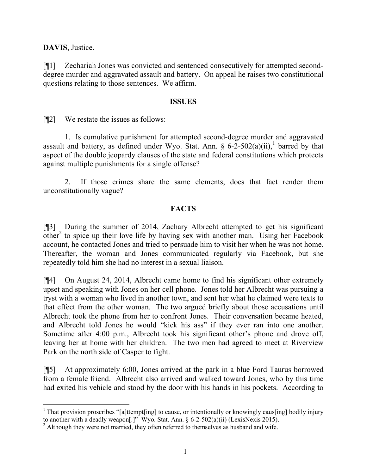**DAVIS**, Justice.

l

[¶1] Zechariah Jones was convicted and sentenced consecutively for attempted seconddegree murder and aggravated assault and battery. On appeal he raises two constitutional questions relating to those sentences. We affirm.

#### **ISSUES**

[¶2] We restate the issues as follows:

1. Is cumulative punishment for attempted second-degree murder and aggravated assault and battery, as defined under Wyo. Stat. Ann.  $\S 6-2-502(a)(ii)$ , barred by that aspect of the double jeopardy clauses of the state and federal constitutions which protects against multiple punishments for a single offense?

2. If those crimes share the same elements, does that fact render them unconstitutionally vague?

## **FACTS**

[¶3] During the summer of 2014, Zachary Albrecht attempted to get his significant other<sup>2</sup> to spice up their love life by having sex with another man. Using her Facebook account, he contacted Jones and tried to persuade him to visit her when he was not home. Thereafter, the woman and Jones communicated regularly via Facebook, but she repeatedly told him she had no interest in a sexual liaison.

[¶4] On August 24, 2014, Albrecht came home to find his significant other extremely upset and speaking with Jones on her cell phone. Jones told her Albrecht was pursuing a tryst with a woman who lived in another town, and sent her what he claimed were texts to that effect from the other woman. The two argued briefly about those accusations until Albrecht took the phone from her to confront Jones. Their conversation became heated, and Albrecht told Jones he would "kick his ass" if they ever ran into one another. Sometime after 4:00 p.m., Albrecht took his significant other's phone and drove off, leaving her at home with her children. The two men had agreed to meet at Riverview Park on the north side of Casper to fight.

[¶5] At approximately 6:00, Jones arrived at the park in a blue Ford Taurus borrowed from a female friend. Albrecht also arrived and walked toward Jones, who by this time had exited his vehicle and stood by the door with his hands in his pockets. According to

<sup>&</sup>lt;sup>1</sup> That provision proscribes "[a]ttempt[ing] to cause, or intentionally or knowingly caus[ing] bodily injury to another with a deadly weapon[.]" Wyo. Stat. Ann. § 6-2-502(a)(ii) (LexisNexis 2015).

 $2$  Although they were not married, they often referred to themselves as husband and wife.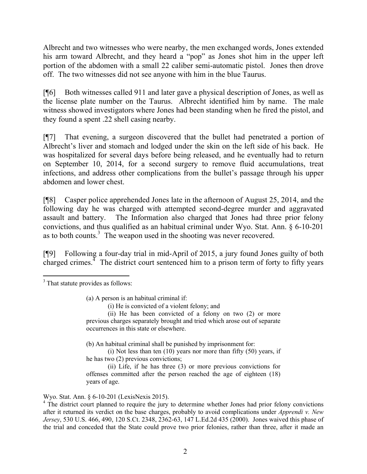Albrecht and two witnesses who were nearby, the men exchanged words, Jones extended his arm toward Albrecht, and they heard a "pop" as Jones shot him in the upper left portion of the abdomen with a small 22 caliber semi-automatic pistol. Jones then drove off. The two witnesses did not see anyone with him in the blue Taurus.

[¶6] Both witnesses called 911 and later gave a physical description of Jones, as well as the license plate number on the Taurus. Albrecht identified him by name. The male witness showed investigators where Jones had been standing when he fired the pistol, and they found a spent .22 shell casing nearby.

[¶7] That evening, a surgeon discovered that the bullet had penetrated a portion of Albrecht's liver and stomach and lodged under the skin on the left side of his back. He was hospitalized for several days before being released, and he eventually had to return on September 10, 2014, for a second surgery to remove fluid accumulations, treat infections, and address other complications from the bullet's passage through his upper abdomen and lower chest.

[¶8] Casper police apprehended Jones late in the afternoon of August 25, 2014, and the following day he was charged with attempted second-degree murder and aggravated assault and battery. The Information also charged that Jones had three prior felony convictions, and thus qualified as an habitual criminal under Wyo. Stat. Ann. § 6-10-201 as to both counts.<sup>3</sup> The weapon used in the shooting was never recovered.

[¶9] Following a four-day trial in mid-April of 2015, a jury found Jones guilty of both charged crimes. $<sup>4</sup>$  The district court sentenced him to a prison term of forty to fifty years</sup>

(b) An habitual criminal shall be punished by imprisonment for:

(i) Not less than ten (10) years nor more than fifty (50) years, if he has two (2) previous convictions;

(ii) Life, if he has three (3) or more previous convictions for offenses committed after the person reached the age of eighteen (18) years of age.

Wyo. Stat. Ann. § 6-10-201 (LexisNexis 2015).

l <sup>3</sup> That statute provides as follows:

<sup>(</sup>a) A person is an habitual criminal if:

<sup>(</sup>i) He is convicted of a violent felony; and

<sup>(</sup>ii) He has been convicted of a felony on two (2) or more previous charges separately brought and tried which arose out of separate occurrences in this state or elsewhere.

<sup>&</sup>lt;sup>4</sup> The district court planned to require the jury to determine whether Jones had prior felony convictions after it returned its verdict on the base charges, probably to avoid complications under *Apprendi v. New Jersey*, 530 U.S. 466, 490, 120 S.Ct. 2348, 2362-63, 147 L.Ed.2d 435 (2000). Jones waived this phase of the trial and conceded that the State could prove two prior felonies, rather than three, after it made an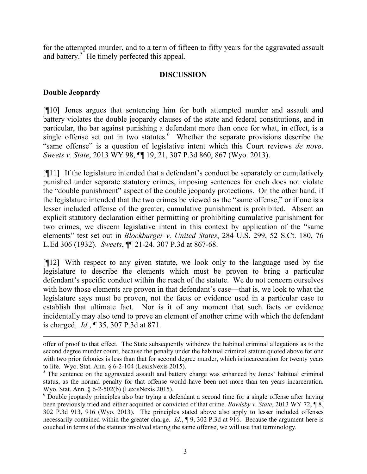for the attempted murder, and to a term of fifteen to fifty years for the aggravated assault and battery.<sup>5</sup> He timely perfected this appeal.

## **DISCUSSION**

### **Double Jeopardy**

 $\overline{a}$ 

[¶10] Jones argues that sentencing him for both attempted murder and assault and battery violates the double jeopardy clauses of the state and federal constitutions, and in particular, the bar against punishing a defendant more than once for what, in effect, is a single offense set out in two statutes. $6$  Whether the separate provisions describe the "same offense" is a question of legislative intent which this Court reviews *de novo*. *Sweets v. State*, 2013 WY 98, ¶¶ 19, 21, 307 P.3d 860, 867 (Wyo. 2013).

[¶11] If the legislature intended that a defendant's conduct be separately or cumulatively punished under separate statutory crimes, imposing sentences for each does not violate the "double punishment" aspect of the double jeopardy protections. On the other hand, if the legislature intended that the two crimes be viewed as the "same offense," or if one is a lesser included offense of the greater, cumulative punishment is prohibited. Absent an explicit statutory declaration either permitting or prohibiting cumulative punishment for two crimes, we discern legislative intent in this context by application of the "same elements" test set out in *Blockburger v. United States*, 284 U.S. 299, 52 S.Ct. 180, 76 L.Ed 306 (1932). *Sweets*, ¶¶ 21-24. 307 P.3d at 867-68.

[¶12] With respect to any given statute, we look only to the language used by the legislature to describe the elements which must be proven to bring a particular defendant's specific conduct within the reach of the statute. We do not concern ourselves with how those elements are proven in that defendant's case—that is, we look to what the legislature says must be proven, not the facts or evidence used in a particular case to establish that ultimate fact. Nor is it of any moment that such facts or evidence incidentally may also tend to prove an element of another crime with which the defendant is charged. *Id.*, ¶ 35, 307 P.3d at 871.

offer of proof to that effect. The State subsequently withdrew the habitual criminal allegations as to the second degree murder count, because the penalty under the habitual criminal statute quoted above for one with two prior felonies is less than that for second degree murder, which is incarceration for twenty years to life. Wyo. Stat. Ann. § 6-2-104 (LexisNexis 2015).

<sup>&</sup>lt;sup>5</sup> The sentence on the aggravated assault and battery charge was enhanced by Jones' habitual criminal status, as the normal penalty for that offense would have been not more than ten years incarceration. Wyo. Stat. Ann. § 6-2-502(b) (LexisNexis 2015).

<sup>&</sup>lt;sup>6</sup> Double jeopardy principles also bar trying a defendant a second time for a single offense after having been previously tried and either acquitted or convicted of that crime. *Bowlsby v. State*, 2013 WY 72, ¶ 8, 302 P.3d 913, 916 (Wyo. 2013). The principles stated above also apply to lesser included offenses necessarily contained within the greater charge. *Id*., ¶ 9, 302 P.3d at 916. Because the argument here is couched in terms of the statutes involved stating the same offense, we will use that terminology.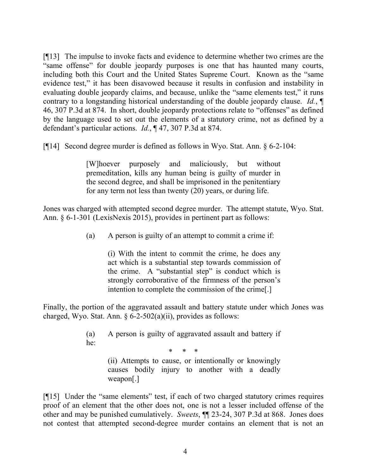[¶13] The impulse to invoke facts and evidence to determine whether two crimes are the "same offense" for double jeopardy purposes is one that has haunted many courts, including both this Court and the United States Supreme Court. Known as the "same evidence test," it has been disavowed because it results in confusion and instability in evaluating double jeopardy claims, and because, unlike the "same elements test," it runs contrary to a longstanding historical understanding of the double jeopardy clause. *Id.*, ¶ 46, 307 P.3d at 874. In short, double jeopardy protections relate to "offenses" as defined by the language used to set out the elements of a statutory crime, not as defined by a defendant's particular actions. *Id.*, ¶ 47, 307 P.3d at 874.

[¶14] Second degree murder is defined as follows in Wyo. Stat. Ann. § 6-2-104:

[W]hoever purposely and maliciously, but without premeditation, kills any human being is guilty of murder in the second degree, and shall be imprisoned in the penitentiary for any term not less than twenty (20) years, or during life.

Jones was charged with attempted second degree murder. The attempt statute, Wyo. Stat. Ann. § 6-1-301 (LexisNexis 2015), provides in pertinent part as follows:

(a) A person is guilty of an attempt to commit a crime if:

(i) With the intent to commit the crime, he does any act which is a substantial step towards commission of the crime. A "substantial step" is conduct which is strongly corroborative of the firmness of the person's intention to complete the commission of the crime[.]

Finally, the portion of the aggravated assault and battery statute under which Jones was charged, Wyo. Stat. Ann.  $\frac{6}{2}$ -502(a)(ii), provides as follows:

> (a) A person is guilty of aggravated assault and battery if he:

> > \* \* \*

(ii) Attempts to cause, or intentionally or knowingly causes bodily injury to another with a deadly weapon[.]

[¶15] Under the "same elements" test, if each of two charged statutory crimes requires proof of an element that the other does not, one is not a lesser included offense of the other and may be punished cumulatively. *Sweets*, ¶¶ 23-24, 307 P.3d at 868. Jones does not contest that attempted second-degree murder contains an element that is not an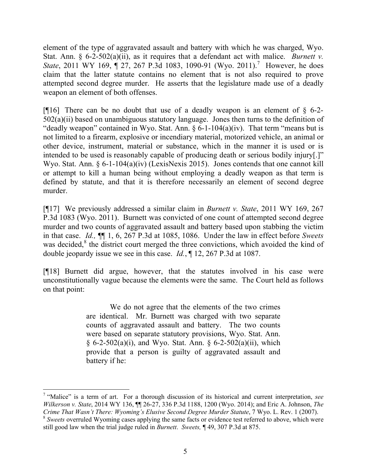element of the type of aggravated assault and battery with which he was charged, Wyo. Stat. Ann. § 6-2-502(a)(ii), as it requires that a defendant act with malice. *Burnett v. State*, 2011 WY 169, 127, 267 P.3d 1083, 1090-91 (Wyo. 2011).<sup>7</sup> However, he does claim that the latter statute contains no element that is not also required to prove attempted second degree murder. He asserts that the legislature made use of a deadly weapon an element of both offenses.

[ $[$ [16] There can be no doubt that use of a deadly weapon is an element of  $\S$  6-2- $502(a)(ii)$  based on unambiguous statutory language. Jones then turns to the definition of "deadly weapon" contained in Wyo. Stat. Ann.  $\S 6$ -1-104(a)(iv). That term "means but is not limited to a firearm, explosive or incendiary material, motorized vehicle, an animal or other device, instrument, material or substance, which in the manner it is used or is intended to be used is reasonably capable of producing death or serious bodily injury[.]" Wyo. Stat. Ann. § 6-1-104(a)(iv) (LexisNexis 2015). Jones contends that one cannot kill or attempt to kill a human being without employing a deadly weapon as that term is defined by statute, and that it is therefore necessarily an element of second degree murder.

[¶17] We previously addressed a similar claim in *Burnett v. State*, 2011 WY 169, 267 P.3d 1083 (Wyo. 2011). Burnett was convicted of one count of attempted second degree murder and two counts of aggravated assault and battery based upon stabbing the victim in that case. *Id.,* ¶¶ 1, 6, 267 P.3d at 1085, 1086. Under the law in effect before *Sweets*  was decided, ${}^{8}$  the district court merged the three convictions, which avoided the kind of double jeopardy issue we see in this case. *Id.*, ¶ 12, 267 P.3d at 1087.

[¶18] Burnett did argue, however, that the statutes involved in his case were unconstitutionally vague because the elements were the same. The Court held as follows on that point:

> We do not agree that the elements of the two crimes are identical. Mr. Burnett was charged with two separate counts of aggravated assault and battery. The two counts were based on separate statutory provisions, Wyo. Stat. Ann.  $§ 6-2-502(a)(i)$ , and Wyo. Stat. Ann. § 6-2-502(a)(ii), which provide that a person is guilty of aggravated assault and battery if he:

 $\overline{a}$ 7 "Malice" is a term of art. For a thorough discussion of its historical and current interpretation, *see Wilkerson v. State*, 2014 WY 136, ¶¶ 26-27, 336 P.3d 1188, 1200 (Wyo. 2014); and Eric A. Johnson, *The Crime That Wasn't There: Wyoming's Elusive Second Degree Murder Statute*, 7 Wyo. L. Rev. 1 (2007).

<sup>&</sup>lt;sup>8</sup> Sweets overruled Wyoming cases applying the same facts or evidence test referred to above, which were still good law when the trial judge ruled in *Burnett*. *Sweets,* ¶ 49, 307 P.3d at 875.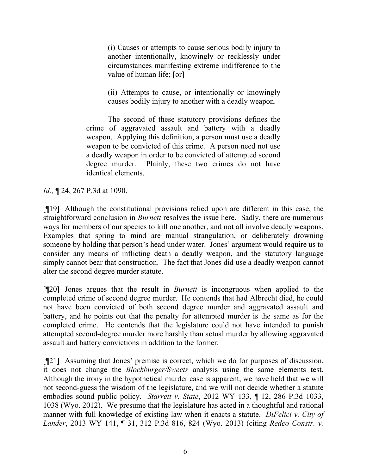(i) Causes or attempts to cause serious bodily injury to another intentionally, knowingly or recklessly under circumstances manifesting extreme indifference to the value of human life; [or]

(ii) Attempts to cause, or intentionally or knowingly causes bodily injury to another with a deadly weapon.

The second of these statutory provisions defines the crime of aggravated assault and battery with a deadly weapon. Applying this definition, a person must use a deadly weapon to be convicted of this crime. A person need not use a deadly weapon in order to be convicted of attempted second degree murder. Plainly, these two crimes do not have identical elements.

*Id.,* ¶ 24, 267 P.3d at 1090.

[¶19] Although the constitutional provisions relied upon are different in this case, the straightforward conclusion in *Burnett* resolves the issue here. Sadly, there are numerous ways for members of our species to kill one another, and not all involve deadly weapons. Examples that spring to mind are manual strangulation, or deliberately drowning someone by holding that person's head under water. Jones' argument would require us to consider any means of inflicting death a deadly weapon, and the statutory language simply cannot bear that construction. The fact that Jones did use a deadly weapon cannot alter the second degree murder statute.

[¶20] Jones argues that the result in *Burnett* is incongruous when applied to the completed crime of second degree murder. He contends that had Albrecht died, he could not have been convicted of both second degree murder and aggravated assault and battery, and he points out that the penalty for attempted murder is the same as for the completed crime. He contends that the legislature could not have intended to punish attempted second-degree murder more harshly than actual murder by allowing aggravated assault and battery convictions in addition to the former.

[¶21] Assuming that Jones' premise is correct, which we do for purposes of discussion, it does not change the *Blockburger/Sweets* analysis using the same elements test. Although the irony in the hypothetical murder case is apparent, we have held that we will not second-guess the wisdom of the legislature, and we will not decide whether a statute embodies sound public policy. *Starrett v. State*, 2012 WY 133, ¶ 12, 286 P.3d 1033, 1038 (Wyo. 2012). We presume that the legislature has acted in a thoughtful and rational manner with full knowledge of existing law when it enacts a statute. *DiFelici v. City of Lander*, 2013 WY 141, ¶ 31, 312 P.3d 816, 824 (Wyo. 2013) (citing *Redco Constr. v.*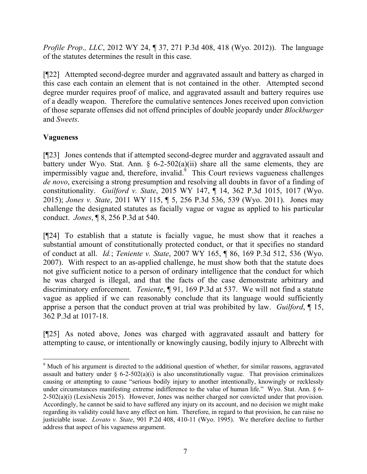*Profile Prop*.*, LLC*, 2012 WY 24, ¶ 37, 271 P.3d 408, 418 (Wyo. 2012)). The language of the statutes determines the result in this case.

[¶22] Attempted second-degree murder and aggravated assault and battery as charged in this case each contain an element that is not contained in the other. Attempted second degree murder requires proof of malice, and aggravated assault and battery requires use of a deadly weapon. Therefore the cumulative sentences Jones received upon conviction of those separate offenses did not offend principles of double jeopardy under *Blockburger* and *Sweets*.

# **Vagueness**

 $\overline{a}$ 

[¶23] Jones contends that if attempted second-degree murder and aggravated assault and battery under Wyo. Stat. Ann. § 6-2-502(a)(ii) share all the same elements, they are impermissibly vague and, therefore, invalid. $9$  This Court reviews vagueness challenges *de novo*, exercising a strong presumption and resolving all doubts in favor of a finding of constitutionality. *Guilford v. State*, 2015 WY 147, ¶ 14, 362 P.3d 1015, 1017 (Wyo. 2015); *Jones v. State*, 2011 WY 115, ¶ 5, 256 P.3d 536, 539 (Wyo. 2011). Jones may challenge the designated statutes as facially vague or vague as applied to his particular conduct. *Jones*, ¶ 8, 256 P.3d at 540.

[¶24] To establish that a statute is facially vague, he must show that it reaches a substantial amount of constitutionally protected conduct, or that it specifies no standard of conduct at all. *Id.*; *Teniente v. State*, 2007 WY 165, ¶ 86, 169 P.3d 512, 536 (Wyo. 2007). With respect to an as-applied challenge, he must show both that the statute does not give sufficient notice to a person of ordinary intelligence that the conduct for which he was charged is illegal, and that the facts of the case demonstrate arbitrary and discriminatory enforcement. *Teniente*, ¶ 91, 169 P.3d at 537. We will not find a statute vague as applied if we can reasonably conclude that its language would sufficiently apprise a person that the conduct proven at trial was prohibited by law. *Guilford*, ¶ 15, 362 P.3d at 1017-18.

[¶25] As noted above, Jones was charged with aggravated assault and battery for attempting to cause, or intentionally or knowingly causing, bodily injury to Albrecht with

<sup>&</sup>lt;sup>9</sup> Much of his argument is directed to the additional question of whether, for similar reasons, aggravated assault and battery under  $\S$  6-2-502(a)(i) is also unconstitutionally vague. That provision criminalizes causing or attempting to cause "serious bodily injury to another intentionally, knowingly or recklessly under circumstances manifesting extreme indifference to the value of human life." Wyo. Stat. Ann. § 6-2-502(a)(i) (LexisNexis 2015). However, Jones was neither charged nor convicted under that provision. Accordingly, he cannot be said to have suffered any injury on its account, and no decision we might make regarding its validity could have any effect on him. Therefore, in regard to that provision, he can raise no justiciable issue. *Lovato v. State*, 901 P.2d 408, 410-11 (Wyo. 1995). We therefore decline to further address that aspect of his vagueness argument.